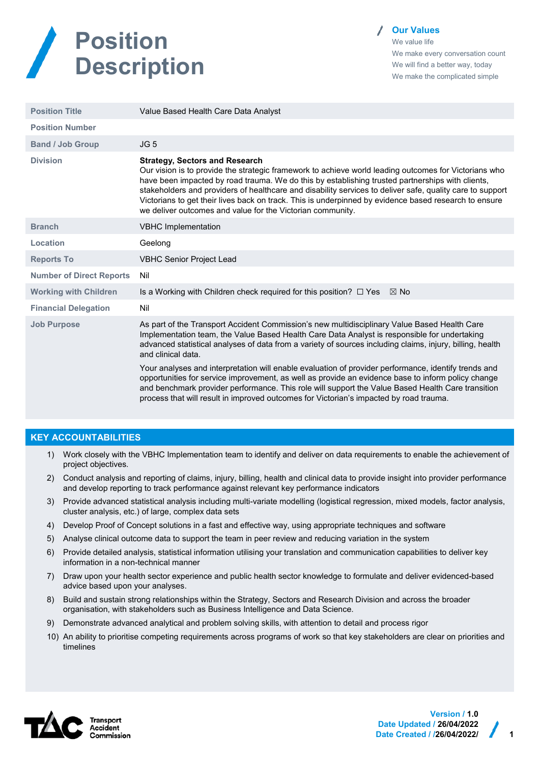

**Our Values**

We value life We make every conversation count We will find a better way, today We make the complicated simple

| <b>Position Title</b>           | Value Based Health Care Data Analyst                                                                                                                                                                                                                                                                                                                                                                                                                                                                                                   |  |
|---------------------------------|----------------------------------------------------------------------------------------------------------------------------------------------------------------------------------------------------------------------------------------------------------------------------------------------------------------------------------------------------------------------------------------------------------------------------------------------------------------------------------------------------------------------------------------|--|
| <b>Position Number</b>          |                                                                                                                                                                                                                                                                                                                                                                                                                                                                                                                                        |  |
| <b>Band / Job Group</b>         | JG <sub>5</sub>                                                                                                                                                                                                                                                                                                                                                                                                                                                                                                                        |  |
| <b>Division</b>                 | <b>Strategy, Sectors and Research</b><br>Our vision is to provide the strategic framework to achieve world leading outcomes for Victorians who<br>have been impacted by road trauma. We do this by establishing trusted partnerships with clients,<br>stakeholders and providers of healthcare and disability services to deliver safe, quality care to support<br>Victorians to get their lives back on track. This is underpinned by evidence based research to ensure<br>we deliver outcomes and value for the Victorian community. |  |
| <b>Branch</b>                   | <b>VBHC Implementation</b>                                                                                                                                                                                                                                                                                                                                                                                                                                                                                                             |  |
| Location                        | Geelong                                                                                                                                                                                                                                                                                                                                                                                                                                                                                                                                |  |
| <b>Reports To</b>               | <b>VBHC Senior Project Lead</b>                                                                                                                                                                                                                                                                                                                                                                                                                                                                                                        |  |
| <b>Number of Direct Reports</b> | Nil                                                                                                                                                                                                                                                                                                                                                                                                                                                                                                                                    |  |
| <b>Working with Children</b>    | Is a Working with Children check required for this position? $\Box$ Yes<br>$\boxtimes$ No                                                                                                                                                                                                                                                                                                                                                                                                                                              |  |
| <b>Financial Delegation</b>     | Nil                                                                                                                                                                                                                                                                                                                                                                                                                                                                                                                                    |  |
| <b>Job Purpose</b>              | As part of the Transport Accident Commission's new multidisciplinary Value Based Health Care<br>Implementation team, the Value Based Health Care Data Analyst is responsible for undertaking<br>advanced statistical analyses of data from a variety of sources including claims, injury, billing, health<br>and clinical data.                                                                                                                                                                                                        |  |
|                                 | Your analyses and interpretation will enable evaluation of provider performance, identify trends and<br>opportunities for service improvement, as well as provide an evidence base to inform policy change<br>and benchmark provider performance. This role will support the Value Based Health Care transition<br>process that will result in improved outcomes for Victorian's impacted by road trauma.                                                                                                                              |  |

## **KEY ACCOUNTABILITIES**

- 1) Work closely with the VBHC Implementation team to identify and deliver on data requirements to enable the achievement of project objectives.
- 2) Conduct analysis and reporting of claims, injury, billing, health and clinical data to provide insight into provider performance and develop reporting to track performance against relevant key performance indicators
- 3) Provide advanced statistical analysis including multi-variate modelling (logistical regression, mixed models, factor analysis, cluster analysis, etc.) of large, complex data sets
- 4) Develop Proof of Concept solutions in a fast and effective way, using appropriate techniques and software
- 5) Analyse clinical outcome data to support the team in peer review and reducing variation in the system
- 6) Provide detailed analysis, statistical information utilising your translation and communication capabilities to deliver key information in a non-technical manner
- 7) Draw upon your health sector experience and public health sector knowledge to formulate and deliver evidenced-based advice based upon your analyses.
- 8) Build and sustain strong relationships within the Strategy, Sectors and Research Division and across the broader organisation, with stakeholders such as Business Intelligence and Data Science.
- 9) Demonstrate advanced analytical and problem solving skills, with attention to detail and process rigor
- 10) An ability to prioritise competing requirements across programs of work so that key stakeholders are clear on priorities and timelines